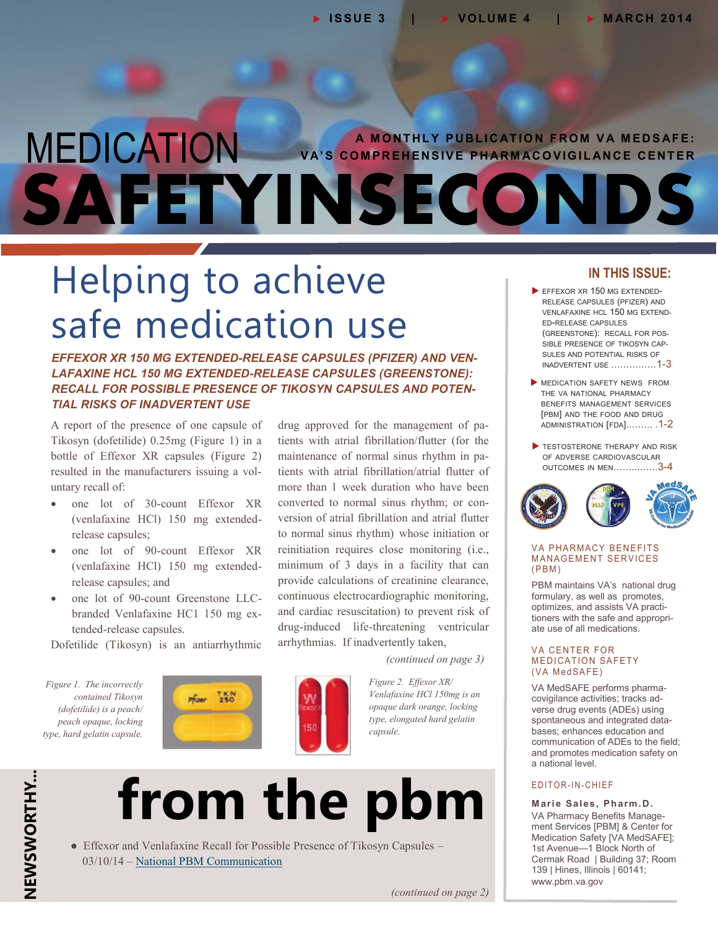## **A MONTHLY PUBLICATION FROM VA MEDSAFE:**<br>VA'S COMPREHENSIVE PHARMACOVIGILANCE CENTER **SAFETYINSECONDS**

drug approved for the management of patients with atrial fibrillation/flutter (for the maintenance of normal sinus rhythm in patients with atrial fibrillation/atrial flutter of more than 1 week duration who have been converted to normal sinus rhythm; or conversion of atrial fibrillation and atrial flutter to normal sinus rhythm) whose initiation or reinitiation requires close monitoring (i.e., minimum of 3 days in a facility that can provide calculations of creatinine clearance, continuous electrocardiographic monitoring, and cardiac resuscitation) to prevent risk of drug-induced life-threatening ventricular

## Helping to achieve safe medication use

*EFFEXOR XR 150 MG EXTENDED-RELEASE CAPSULES (PFIZER) AND VEN-LAFAXINE HCL 150 MG EXTENDED-RELEASE CAPSULES (GREENSTONE): RECALL FOR POSSIBLE PRESENCE OF TIKOSYN CAPSULES AND POTEN-TIAL RISKS OF INADVERTENT USE*

A report of the presence of one capsule of Tikosyn (dofetilide) 0.25mg (Figure 1) in a bottle of Effexor XR capsules (Figure 2) resulted in the manufacturers issuing a voluntary recall of:

- one lot of 30-count Effexor XR (venlafaxine HCl) 150 mg extendedrelease capsules;
- one lot of 90-count Effexor XR (venlafaxine HCl) 150 mg extendedrelease capsules; and
- one lot of 90-count Greenstone LLCbranded Venlafaxine HC1 150 mg extended-release capsules.

Dofetilide (Tikosyn) is an antiarrhythmic

*Figure 1. The incorrectly contained Tikosyn (dofetilide) is a peach/ peach opaque, locking type, hard gelatin capsule.* 





arrhythmias. If inadvertently taken,

*Figure 2. Effexor XR/ Venlafaxine HCl 150mg is an opaque dark orange, locking type, elongated hard gelatin capsule.*

*(continued on page 3)*



• Effexor and Venlafaxine Recall for Possible Presence of Tikosyn Capsules – 03/10/14 – [National PBM Communication](http://www.pbm.va.gov/PBM/vacenterformedicationsafety/nationalpbmcommunication/UPDATED_Effexor_and_Venlafaxine_Recall_for_Possible_Presence_of_Tykosin.pdf)

#### **IN THIS ISSUE:**

- EFFEXOR XR 150 MG EXTENDED-RELEASE CAPSULES (PFIZER) AND VENLAFAXINE HCL 150 MG EXTEND-ED-RELEASE CAPSULES (GREENSTONE): RECALL FOR POS-SIBLE PRESENCE OF TIKOSYN CAP-SULES AND POTENTIAL RISKS OF INADVERTENT USE ……………1-3
- **MEDICATION SAFETY NEWS FROM** THE VA NATIONAL PHARMACY BENEFITS MANAGEMENT SERVICES [PBM] AND THE FOOD AND DRUG [ADMINISTRATION](#page-1-0) [FDA]..……. .1-2
- TESTOSTERONE THERAPY AND RISK OF ADVERSE [CARDIOVASCULAR](#page-2-0) OUTCOMES IN MEN……..…….3-4



#### **VA PHARMACY BENEFITS MANAGEMENT SERVICES**  $(PBM)$

PBM maintains VA's national drug formulary, as well as promotes, optimizes, and assists VA practitioners with the safe and appropriate use of all medications.

#### **VA CENTER FOR MEDICATION SAFETY** (VA MedSAFE)

VA MedSAFE performs pharmacovigilance activities; tracks adverse drug events (ADEs) using spontaneous and integrated databases; enhances education and communication of ADEs to the field; and promotes medication safety on a national level.

#### E DITOR-IN-CHIEF

**Marie Sales, Pharm.D.** VA Pharmacy Benefits Management Services [PBM] & Center for Medication Safety [VA MedSAFE]; 1st Avenue—1 Block North of Cermak Road | Building 37; Room 139 | Hines, Illinois | 60141; [www.pbm.va.gov](https://www.pbm.va.gov/)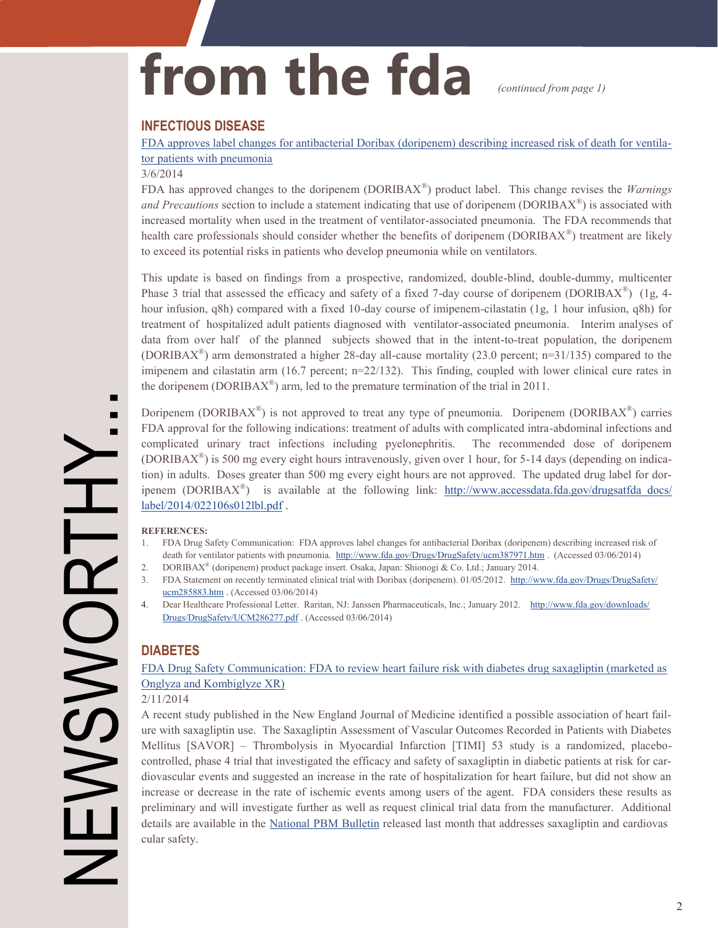# <span id="page-1-0"></span>from the fda *(continued from page 1)*

#### **INFECTIOUS DISEASE**

[FDA approves label changes for antibacterial Doribax \(doripenem\) describing increased risk of death for ventila](http://www.fda.gov/Drugs/DrugsSafety/ucm387971.htm)[tor patients with pneumonia](http://www.fda.gov/Drugs/DrugsSafety/ucm387971.htm)

#### 3/6/2014

FDA has approved changes to the doripenem (DORIBAX® ) product label. This change revises the *Warnings* and Precautions section to include a statement indicating that use of doripenem (DORIBAX<sup>®</sup>) is associated with increased mortality when used in the treatment of ventilator-associated pneumonia. The FDA recommends that health care professionals should consider whether the benefits of doripenem (DORIBAX<sup>®</sup>) treatment are likely to exceed its potential risks in patients who develop pneumonia while on ventilators.

This update is based on findings from a prospective, randomized, double-blind, double-dummy, multicenter Phase 3 trial that assessed the efficacy and safety of a fixed 7-day course of doripenem (DORIBAX<sup>®</sup>) (1g, 4hour infusion, q8h) compared with a fixed 10-day course of imipenem-cilastatin (1g, 1 hour infusion, q8h) for treatment of hospitalized adult patients diagnosed with ventilator-associated pneumonia. Interim analyses of data from over half of the planned subjects showed that in the intent-to-treat population, the doripenem (DORIBAX<sup>®</sup>) arm demonstrated a higher 28-day all-cause mortality (23.0 percent; n=31/135) compared to the imipenem and cilastatin arm (16.7 percent; n=22/132). This finding, coupled with lower clinical cure rates in the doripenem (DORIBA $X^{\circledast}$ ) arm, led to the premature termination of the trial in 2011.

Doripenem (DORIBAX® ) is not approved to treat any type of pneumonia.Doripenem (DORIBAX® ) carries FDA approval for the following indications: treatment of adults with complicated intra-abdominal infections and complicated urinary tract infections including pyelonephritis. The recommended dose of doripenem (DORIBAX® ) is 500 mg every eight hours intravenously, given over 1 hour, for 5-14 days (depending on indication) in adults. Doses greater than 500 mg every eight hours are not approved. The updated drug label for doripenem (DORIBAX<sup>®</sup>) is available at the following link: [http://www.accessdata.fda.gov/drugsatfda\\_docs/](http://www.accessdata.fda.gov/drugsatfda docs/label/2014/022106s012lbl.pdf) [label/2014/022106s012lbl.pdf](http://www.accessdata.fda.gov/drugsatfda docs/label/2014/022106s012lbl.pdf) .

#### **REFERENCES:**

- 1. FDA Drug Safety Communication: FDA approves label changes for antibacterial Doribax (doripenem) describing increased risk of death for ventilator patients with pneumonia. <http://www.fda.gov/Drugs/DrugSafety/ucm387971.htm> . (Accessed 03/06/2014)
- 2. DORIBAX® (doripenem) product package insert. Osaka, Japan: Shionogi & Co. Ltd.; January 2014.
- 3. FDA Statement on recently terminated clinical trial with Doribax (doripenem). 01/05/2012. [http://www.fda.gov/Drugs/DrugSafety/](http://www.fds.gov/Drugs/DrugSafety/ucm285883.htm) [ucm285883.htm](http://www.fds.gov/Drugs/DrugSafety/ucm285883.htm) . (Accessed 03/06/2014)
- 4. Dear Healthcare Professional Letter. Raritan, NJ: Janssen Pharmaceuticals, Inc.; January 2012. [http://www.fda.gov/downloads/](http://www.fds.gov/downloads/Drugs/DrugSafety/UCM286277.pdf) [Drugs/DrugSafety/UCM286277](http://www.fds.gov/downloads/Drugs/DrugSafety/UCM286277.pdf).pdf . (Accessed 03/06/2014)

#### **DIABETES**

[FDA Drug Safety Communication: FDA to review heart failure risk with diabetes drug saxagliptin \(marketed as](http://www.fda.gov/Drugs/DrugSafety/ucm385287.htm) [Onglyza and Kombiglyze XR\)](http://www.fda.gov/Drugs/DrugSafety/ucm385287.htm)

#### 2/11/2014

A recent study published in the New England Journal of Medicine identified a possible association of heart failure with saxagliptin use. The Saxagliptin Assessment of Vascular Outcomes Recorded in Patients with Diabetes Mellitus [SAVOR] – Thrombolysis in Myocardial Infarction [TIMI] 53 study is a randomized, placebocontrolled, phase 4 trial that investigated the efficacy and safety of saxagliptin in diabetic patients at risk for cardiovascular events and suggested an increase in the rate of hospitalization for heart failure, but did not show an increase or decrease in the rate of ischemic events among users of the agent. FDA considers these results as preliminary and will investigate further as well as request clinical trial data from the manufacturer. Additional details are available in the [National PBM Bulletin](http://www.pbm.va.gov/PBM/vacenterformedicationsafety/nationalpbmbulletin/Saxagliptin_and_Cardiovascular_Safety_NATIONAL_PBM_BULLETIN_021814_FIN.pdf) released last month that addresses saxagliptin and cardiovas cular safety.

Н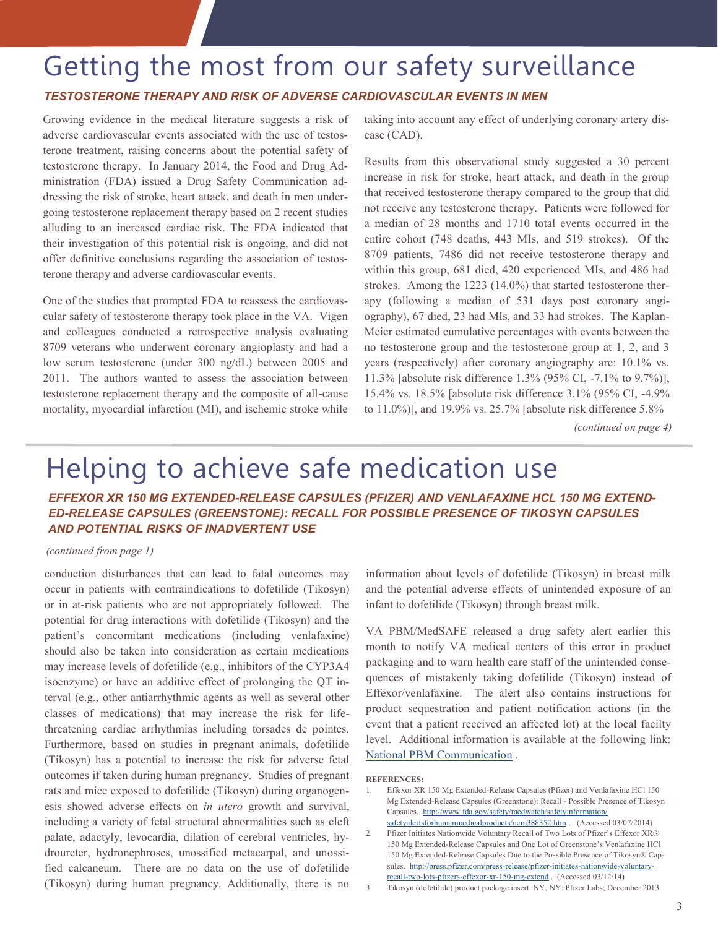### <span id="page-2-0"></span>Getting the most from our safety surveillance

#### *TESTOSTERONE THERAPY AND RISK OF ADVERSE CARDIOVASCULAR EVENTS IN MEN*

Growing evidence in the medical literature suggests a risk of adverse cardiovascular events associated with the use of testosterone treatment, raising concerns about the potential safety of testosterone therapy. In January 2014, the Food and Drug Administration (FDA) issued a Drug Safety Communication addressing the risk of stroke, heart attack, and death in men undergoing testosterone replacement therapy based on 2 recent studies alluding to an increased cardiac risk. The FDA indicated that their investigation of this potential risk is ongoing, and did not offer definitive conclusions regarding the association of testosterone therapy and adverse cardiovascular events.

One of the studies that prompted FDA to reassess the cardiovascular safety of testosterone therapy took place in the VA. Vigen and colleagues conducted a retrospective analysis evaluating 8709 veterans who underwent coronary angioplasty and had a low serum testosterone (under 300 ng/dL) between 2005 and 2011. The authors wanted to assess the association between testosterone replacement therapy and the composite of all-cause mortality, myocardial infarction (MI), and ischemic stroke while

taking into account any effect of underlying coronary artery disease (CAD).

Results from this observational study suggested a 30 percent increase in risk for stroke, heart attack, and death in the group that received testosterone therapy compared to the group that did not receive any testosterone therapy. Patients were followed for a median of 28 months and 1710 total events occurred in the entire cohort (748 deaths, 443 MIs, and 519 strokes). Of the 8709 patients, 7486 did not receive testosterone therapy and within this group, 681 died, 420 experienced MIs, and 486 had strokes. Among the 1223 (14.0%) that started testosterone therapy (following a median of 531 days post coronary angiography), 67 died, 23 had MIs, and 33 had strokes. The Kaplan-Meier estimated cumulative percentages with events between the no testosterone group and the testosterone group at 1, 2, and 3 years (respectively) after coronary angiography are: 10.1% vs. 11.3% [absolute risk difference 1.3% (95% CI, -7.1% to 9.7%)], 15.4% vs. 18.5% [absolute risk difference 3.1% (95% CI, -4.9% to 11.0%)], and 19.9% vs. 25.7% [absolute risk difference 5.8%

*(continued on page 4)*

## Helping to achieve safe medication use

*EFFEXOR XR 150 MG EXTENDED-RELEASE CAPSULES (PFIZER) AND VENLAFAXINE HCL 150 MG EXTEND-ED-RELEASE CAPSULES (GREENSTONE): RECALL FOR POSSIBLE PRESENCE OF TIKOSYN CAPSULES AND POTENTIAL RISKS OF INADVERTENT USE*

#### *(continued from page 1)*

conduction disturbances that can lead to fatal outcomes may occur in patients with contraindications to dofetilide (Tikosyn) or in at-risk patients who are not appropriately followed. The potential for drug interactions with dofetilide (Tikosyn) and the patient's concomitant medications (including venlafaxine) should also be taken into consideration as certain medications may increase levels of dofetilide (e.g., inhibitors of the CYP3A4 isoenzyme) or have an additive effect of prolonging the QT interval (e.g., other antiarrhythmic agents as well as several other classes of medications) that may increase the risk for lifethreatening cardiac arrhythmias including torsades de pointes. Furthermore, based on studies in pregnant animals, dofetilide (Tikosyn) has a potential to increase the risk for adverse fetal outcomes if taken during human pregnancy. Studies of pregnant rats and mice exposed to dofetilide (Tikosyn) during organogenesis showed adverse effects on *in utero* growth and survival, including a variety of fetal structural abnormalities such as cleft palate, adactyly, levocardia, dilation of cerebral ventricles, hydroureter, hydronephroses, unossified metacarpal, and unossified calcaneum. There are no data on the use of dofetilide (Tikosyn) during human pregnancy. Additionally, there is no

information about levels of dofetilide (Tikosyn) in breast milk and the potential adverse effects of unintended exposure of an infant to dofetilide (Tikosyn) through breast milk.

VA PBM/MedSAFE released a drug safety alert earlier this month to notify VA medical centers of this error in product packaging and to warn health care staff of the unintended consequences of mistakenly taking dofetilide (Tikosyn) instead of Effexor/venlafaxine. The alert also contains instructions for product sequestration and patient notification actions (in the event that a patient received an affected lot) at the local facilty level. Additional information is available at the following link: [National PBM Communication](http://www.pbm.va.gov/PBM/vacenterformedicationsafety/nationalpbmcommunication/UPDATED_Effexor_and_Venlafaxine_Recall_for_Possible_Presence_of_Tykosin.pdf) .

#### **REFERENCES:**

- 1. Effexor XR 150 Mg Extended-Release Capsules (Pfizer) and Venlafaxine HCl 150 Mg Extended-Release Capsules (Greenstone): Recall - Possible Presence of Tikosyn Capsules. [http://www.fda.gov/safety/medwatch/safetyinformation/](http://www.fda.gov/safety/medwatch/safetyinformation/safetyalertsforhumanmedicalproducts/ucm388352.htm) [safetyalertsforhumanmedicalproducts/ucm388352.htm](http://www.fda.gov/safety/medwatch/safetyinformation/safetyalertsforhumanmedicalproducts/ucm388352.htm) . (Accessed 03/07/2014)
- 2. Pfizer Initiates Nationwide Voluntary Recall of Two Lots of Pfizer's Effexor XR® 150 Mg Extended-Release Capsules and One Lot of Greenstone's Venlafaxine HCl 150 Mg Extended-Release Capsules Due to the Possible Presence of Tikosyn® Capsules. [http://press.pfizer.com/press](http://press.pfizer.com/press-release/pfizer-initiates-nationwide-voluntary-recall-two-lots-pfizers-effexor-xr-150-mg-extend)-release/pfizer-initiates-nationwide-voluntaryrecall-two-lots-pfizers-effexor-xr-150-mg-[extend .](http://press.pfizer.com/press-release/pfizer-initiates-nationwide-voluntary-recall-two-lots-pfizers-effexor-xr-150-mg-extend) (Accessed 03/12/14)
- 3. Tikosyn (dofetilide) product package insert. NY, NY: Pfizer Labs; December 2013.